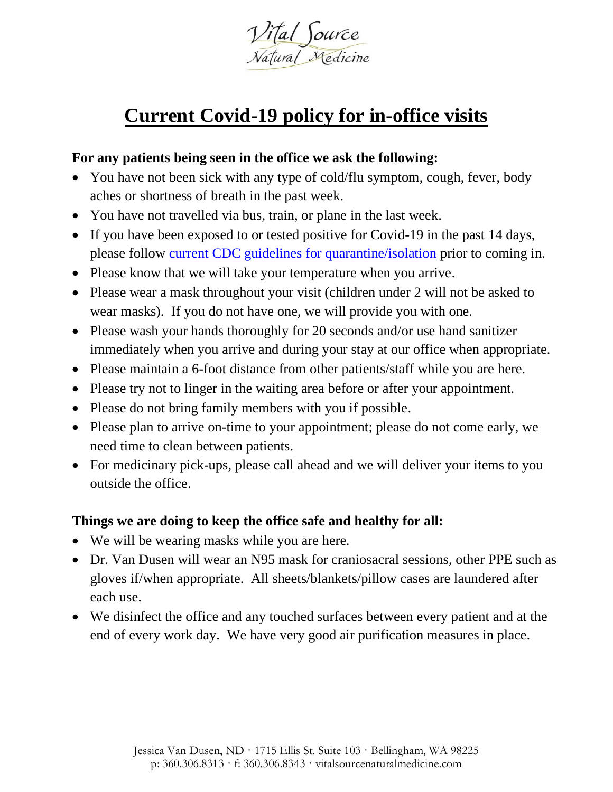

## **Current Covid-19 policy for in-office visits**

## **For any patients being seen in the office we ask the following:**

- You have not been sick with any type of cold/flu symptom, cough, fever, body aches or shortness of breath in the past week.
- You have not travelled via bus, train, or plane in the last week.
- If you have been exposed to or tested positive for Covid-19 in the past 14 days, please follow [current CDC guidelines for quarantine/isolation](https://www.cdc.gov/media/releases/2021/s1227-isolation-quarantine-guidance.html) prior to coming in.
- Please know that we will take your temperature when you arrive.
- Please wear a mask throughout your visit (children under 2 will not be asked to wear masks). If you do not have one, we will provide you with one.
- Please wash your hands thoroughly for 20 seconds and/or use hand sanitizer immediately when you arrive and during your stay at our office when appropriate.
- Please maintain a 6-foot distance from other patients/staff while you are here.
- Please try not to linger in the waiting area before or after your appointment.
- Please do not bring family members with you if possible.
- Please plan to arrive on-time to your appointment; please do not come early, we need time to clean between patients.
- For medicinary pick-ups, please call ahead and we will deliver your items to you outside the office.

## **Things we are doing to keep the office safe and healthy for all:**

- We will be wearing masks while you are here.
- Dr. Van Dusen will wear an N95 mask for craniosacral sessions, other PPE such as gloves if/when appropriate. All sheets/blankets/pillow cases are laundered after each use.
- We disinfect the office and any touched surfaces between every patient and at the end of every work day. We have very good air purification measures in place.